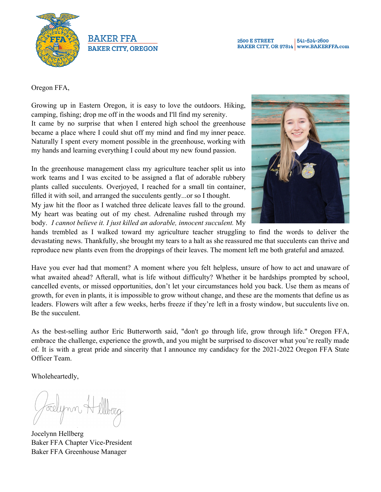



**2500 E STREET** 541-524-2600 BAKER CITY, OR 97814 www.BAKERFFA.com

Oregon FFA,

Growing up in Eastern Oregon, it is easy to love the outdoors. Hiking, camping, fishing; drop me off in the woods and I'll find my serenity. It came by no surprise that when I entered high school the greenhouse became a place where I could shut off my mind and find my inner peace. Naturally I spent every moment possible in the greenhouse, working with my hands and learning everything I could about my new found passion.

In the greenhouse management class my agriculture teacher split us into work teams and I was excited to be assigned a flat of adorable rubbery plants called succulents. Overjoyed, I reached for a small tin container, filled it with soil, and arranged the succulents gently...or so I thought. My jaw hit the floor as I watched three delicate leaves fall to the ground. My heart was beating out of my chest. Adrenaline rushed through my body. *I cannot believe it. I just killed an adorable, innocent succulent.* My



hands trembled as I walked toward my agriculture teacher struggling to find the words to deliver the devastating news. Thankfully, she brought my tears to a halt as she reassured me that succulents can thrive and reproduce new plants even from the droppings of their leaves. The moment left me both grateful and amazed.

Have you ever had that moment? A moment where you felt helpless, unsure of how to act and unaware of what awaited ahead? Afterall, what is life without difficulty? Whether it be hardships prompted by school, cancelled events, or missed opportunities, don't let your circumstances hold you back. Use them as means of growth, for even in plants, it is impossible to grow without change, and these are the moments that define us as leaders. Flowers wilt after a few weeks, herbs freeze if they're left in a frosty window, but succulents live on. Be the succulent.

As the best-selling author Eric Butterworth said, "don't go through life, grow through life." Oregon FFA, embrace the challenge, experience the growth, and you might be surprised to discover what you're really made of. It is with a great pride and sincerity that I announce my candidacy for the 2021-2022 Oregon FFA State Officer Team.

Wholeheartedly,

Jocelynn Hellberg Baker FFA Chapter Vice-President Baker FFA Greenhouse Manager